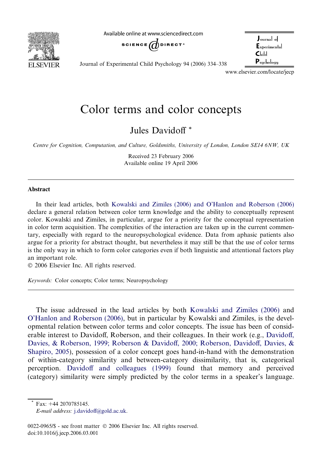

Available online at www.sciencedirect.com



 $J<sub>ournal</sub>$  of  $E_{\rm xperimental}$  $Chil$  $\mathbf{P}_{\text{suchologu}}$ 

Journal of Experimental Child Psychology 94 (2006) 334–338

www.elsevier.com/locate/jecp

## Color terms and color concepts

Jules Davidoff \*

Centre for Cognition, Computation, and Culture, Goldsmiths, University of London, London SE14 6NW, UK

Received 23 February 2006 Available online 19 April 2006

## **Abstract**

In their lead articles, both Kowalski and Zimiles (2006) and O'Hanlon and Roberson (2006) declare a general relation between color term knowledge and the ability to conceptually represent color. Kowalski and Zimiles, in particular, argue for a priority for the conceptual representation in color term acquisition. The complexities of the interaction are taken up in the current commentary, especially with regard to the neuropsychological evidence. Data from aphasic patients also argue for a priority for abstract thought, but nevertheless it may still be that the use of color terms is the only way in which to form color categories even if both linguistic and attentional factors play an important role.

© 2006 Elsevier Inc. All rights reserved.

Keywords: Color concepts; Color terms; Neuropsychology

The issue addressed in the lead articles by both Kowalski and Zimiles (2006) and O'Hanlon and Roberson (2006), but in particular by Kowalski and Zimiles, is the developmental relation between color terms and color concepts. The issue has been of considerable interest to Davidoff, Roberson, and their colleagues. In their work (e.g., Davidoff, Davies, & Roberson, 1999; Roberson & Davidoff, 2000; Roberson, Davidoff, Davies, & Shapiro, 2005), possession of a color concept goes hand-in-hand with the demonstration of within-category similarity and between-category dissimilarity, that is, categorical perception. Davidoff and colleagues (1999) found that memory and perceived (category) similarity were simply predicted by the color terms in a speaker's language.

Fax: +44 2070785145.

0022-0965/\$ - see front matter © 2006 Elsevier Inc. All rights reserved. doi:10.1016/j.jecp.2006.03.001

E-mail address: j.davidoff@gold.ac.uk.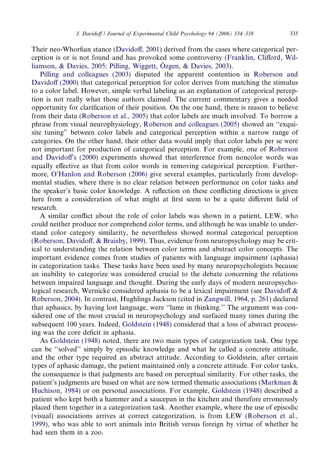Their neo-Whorfian stance (Davidoff, 2001) derived from the cases where categorical perception is or is not found and has provoked some controversy (Franklin, Clifford, Williamson, & Davies, 2005; Pilling, Wiggett, Özgen, & Davies, 2003).

Pilling and colleagues (2003) disputed the apparent contention in Roberson and Davidoff (2000) that categorical perception for color derives from matching the stimulus to a color label. However, simple verbal labeling as an explanation of categorical perception is not really what those authors claimed. The current commentary gives a needed opportunity for clarification of their position. On the one hand, there is reason to believe from their data (Roberson et al., 2005) that color labels are much involved. To borrow a phrase from visual neurophysiology, Roberson and colleagues (2005) showed an ''exquisite tuning'' between color labels and categorical perception within a narrow range of categories. On the other hand, their other data would imply that color labels per se were not important for production of categorical perception. For example, one of Roberson and Davidoff's (2000) experiments showed that interference from noncolor words was equally effective as that from color words in removing categorical perception. Furthermore, O'Hanlon and Roberson (2006) give several examples, particularly from developmental studies, where there is no clear relation between performance on color tasks and the speaker's basic color knowledge. A reflection on these conflicting directions is given here from a consideration of what might at first seem to be a quite different field of research.

A similar conflict about the role of color labels was shown in a patient, LEW, who could neither produce nor comprehend color terms, and although he was unable to understand color category similarity, he nevertheless showed normal categorical perception (Roberson, Davidoff, & Braisby, 1999). Thus, evidence from neuropsychology may be critical to understanding the relation between color terms and abstract color concepts. The important evidence comes from studies of patients with language impairment (aphasia) in categorization tasks. These tasks have been used by many neuropsychologists because an inability to categorize was considered crucial to the debate concerning the relations between impaired language and thought. During the early days of modern neuropsychological research, Wernicke considered aphasia to be a lexical impairment (see Davidoff & Roberson, 2004). In contrast, Hughlings Jackson (cited in Zangwill, 1964, p. 261) declared that aphasics, by having lost language, were ''lame in thinking.'' The argument was considered one of the most crucial in neuropsychology and surfaced many times during the subsequent 100 years. Indeed, Goldstein (1948) considered that a loss of abstract processing was the core deficit in aphasia.

As Goldstein (1948) noted, there are two main types of categorization task. One type can be ''solved'' simply by episodic knowledge and what he called a concrete attitude, and the other type required an abstract attitude. According to Goldstein, after certain types of aphasic damage, the patient maintained only a concrete attitude. For color tasks, the consequence is that judgments are based on perceptual similarity. For other tasks, the patient's judgments are based on what are now termed thematic associations (Markman & Huchison, 1984) or on personal associations. For example, Goldstein (1948) described a patient who kept both a hammer and a saucepan in the kitchen and therefore erroneously placed them together in a categorization task. Another example, where the use of episodic (visual) associations arrives at correct categorization, is from LEW (Roberson et al., 1999), who was able to sort animals into British versus foreign by virtue of whether he had seen them in a zoo.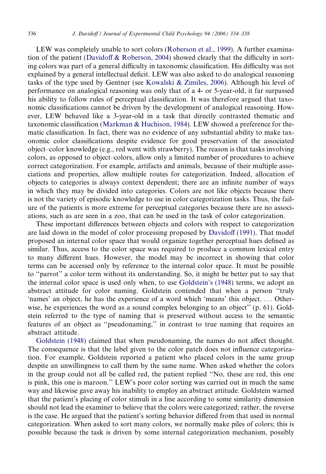LEW was completely unable to sort colors (Roberson et al., 1999). A further examination of the patient (Davidoff & Roberson, 2004) showed clearly that the difficulty in sorting colors was part of a general difficulty in taxonomic classification. His difficulty was not explained by a general intellectual deficit. LEW was also asked to do analogical reasoning tasks of the type used by Gentner (see Kowalski & Zimiles, 2006). Although his level of performance on analogical reasoning was only that of a 4- or 5-year-old, it far surpassed his ability to follow rules of perceptual classification. It was therefore argued that taxonomic classifications cannot be driven by the development of analogical reasoning. However, LEW behaved like a 3-year-old in a task that directly contrasted thematic and taxonomic classification (Markman & Huchison, 1984). LEW showed a preference for thematic classification. In fact, there was no evidence of any substantial ability to make taxonomic color classifications despite evidence for good preservation of the associated object–color knowledge (e.g., red went with strawberry). The reason is that tasks involving colors, as opposed to object–colors, allow only a limited number of procedures to achieve correct categorization. For example, artifacts and animals, because of their multiple associations and properties, allow multiple routes for categorization. Indeed, allocation of objects to categories is always context dependent; there are an infinite number of ways in which they may be divided into categories. Colors are not like objects because there is not the variety of episodic knowledge to use in color categorization tasks. Thus, the failure of the patients is more extreme for perceptual categories because there are no associations, such as are seen in a zoo, that can be used in the task of color categorization.

These important differences between objects and colors with respect to categorization are laid down in the model of color processing proposed by Davidoff (1991). That model proposed an internal color space that would organize together perceptual hues defined as similar. Thus, access to the color space was required to produce a common lexical entry to many different hues. However, the model may be incorrect in showing that color terms can be accessed only by reference to the internal color space. It must be possible to ''parrot'' a color term without its understanding. So, it might be better put to say that the internal color space is used only when, to use Goldstein's (1948) terms, we adopt an abstract attitude for color naming. Goldstein contended that when a person ''truly 'names' an object, he has the experience of a word which 'means' this object. ... Otherwise, he experiences the word as a sound complex belonging to an object'' (p. 61). Goldstein referred to the type of naming that is preserved without access to the semantic features of an object as ''pseudonaming,'' in contrast to true naming that requires an abstract attitude.

Goldstein (1948) claimed that when pseudonaming, the names do not affect thought. The consequence is that the label given to the color patch does not influence categorization. For example, Goldstein reported a patient who placed colors in the same group despite an unwillingness to call them by the same name. When asked whether the colors in the group could not all be called red, the patient replied ''No, these are red, this one is pink, this one is maroon.'' LEW's poor color sorting was carried out in much the same way and likewise gave away his inability to employ an abstract attitude. Goldstein warned that the patient's placing of color stimuli in a line according to some similarity dimension should not lead the examiner to believe that the colors were categorized; rather, the reverse is the case. He argued that the patient's sorting behavior differed from that used in normal categorization. When asked to sort many colors, we normally make piles of colors; this is possible because the task is driven by some internal categorization mechanism, possibly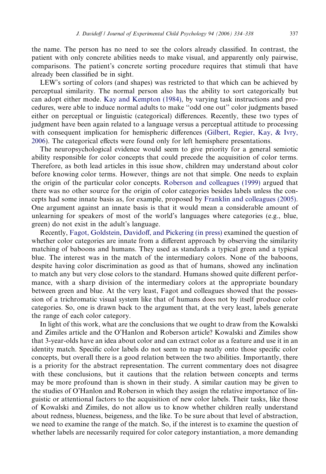the name. The person has no need to see the colors already classified. In contrast, the patient with only concrete abilities needs to make visual, and apparently only pairwise, comparisons. The patient's concrete sorting procedure requires that stimuli that have already been classified be in sight.

LEW's sorting of colors (and shapes) was restricted to that which can be achieved by perceptual similarity. The normal person also has the ability to sort categorically but can adopt either mode. Kay and Kempton (1984), by varying task instructions and procedures, were able to induce normal adults to make ''odd one out'' color judgments based either on perceptual or linguistic (categorical) differences. Recently, these two types of judgment have been again related to a language versus a perceptual attitude to processing with consequent implication for hemispheric differences (Gilbert, Regier, Kay, & Ivry, 2006). The categorical effects were found only for left hemisphere presentations.

The neuropsychological evidence would seem to give priority for a general semiotic ability responsible for color concepts that could precede the acquisition of color terms. Therefore, as both lead articles in this issue show, children may understand about color before knowing color terms. However, things are not that simple. One needs to explain the origin of the particular color concepts. Roberson and colleagues (1999) argued that there was no other source for the origin of color categories besides labels unless the concepts had some innate basis as, for example, proposed by Franklin and colleagues (2005). One argument against an innate basis is that it would mean a considerable amount of unlearning for speakers of most of the world's languages where categories (e.g., blue, green) do not exist in the adult's language.

Recently, Fagot, Goldstein, Davidoff, and Pickering (in press) examined the question of whether color categories are innate from a different approach by observing the similarity matching of baboons and humans. They used as standards a typical green and a typical blue. The interest was in the match of the intermediary colors. None of the baboons, despite having color discrimination as good as that of humans, showed any inclination to match any but very close colors to the standard. Humans showed quite different performance, with a sharp division of the intermediary colors at the appropriate boundary between green and blue. At the very least, Fagot and colleagues showed that the possession of a trichromatic visual system like that of humans does not by itself produce color categories. So, one is drawn back to the argument that, at the very least, labels generate the range of each color category.

In light of this work, what are the conclusions that we ought to draw from the Kowalski and Zimiles article and the O'Hanlon and Roberson article? Kowalski and Zimiles show that 3-year-olds have an idea about color and can extract color as a feature and use it in an identity match. Specific color labels do not seem to map neatly onto those specific color concepts, but overall there is a good relation between the two abilities. Importantly, there is a priority for the abstract representation. The current commentary does not disagree with these conclusions, but it cautions that the relation between concepts and terms may be more profound than is shown in their study. A similar caution may be given to the studies of O'Hanlon and Roberson in which they assign the relative importance of linguistic or attentional factors to the acquisition of new color labels. Their tasks, like those of Kowalski and Zimiles, do not allow us to know whether children really understand about redness, blueness, beigeness, and the like. To be sure about that level of abstraction, we need to examine the range of the match. So, if the interest is to examine the question of whether labels are necessarily required for color category instantiation, a more demanding